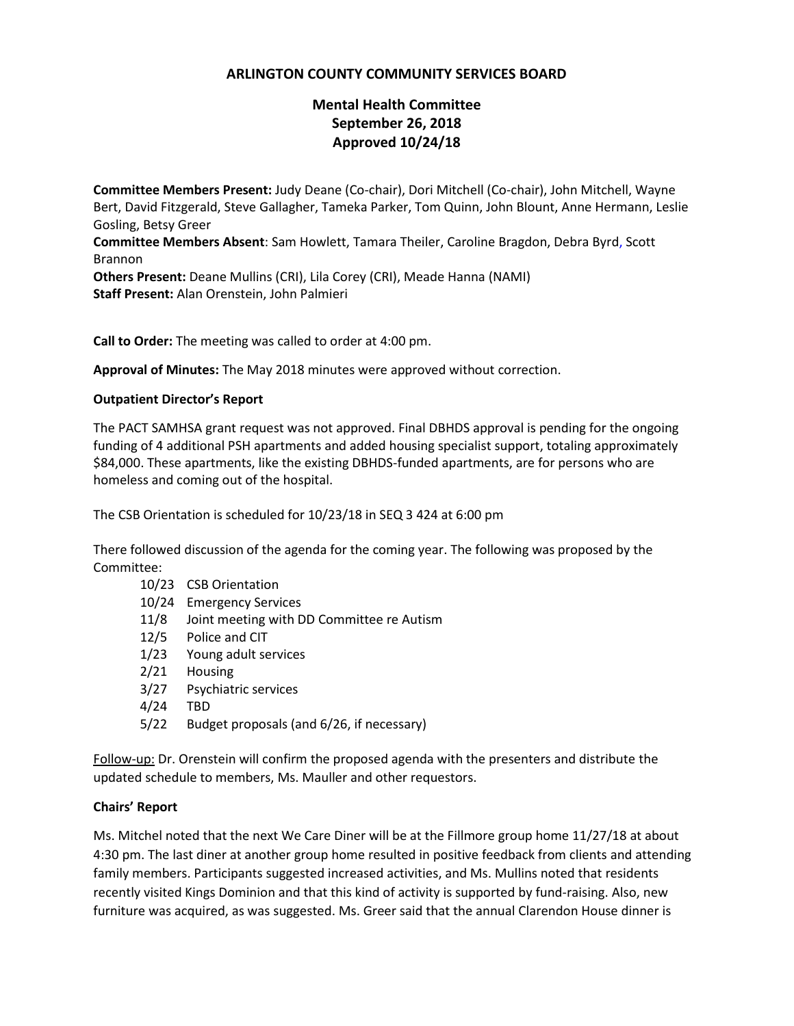## **ARLINGTON COUNTY COMMUNITY SERVICES BOARD**

# **Mental Health Committee September 26, 2018 Approved 10/24/18**

**Committee Members Present:** Judy Deane (Co-chair), Dori Mitchell (Co-chair), John Mitchell, Wayne Bert, David Fitzgerald, Steve Gallagher, Tameka Parker, Tom Quinn, John Blount, Anne Hermann, Leslie Gosling, Betsy Greer **Committee Members Absent**: Sam Howlett, Tamara Theiler, Caroline Bragdon, Debra Byrd, Scott Brannon **Others Present:** Deane Mullins (CRI), Lila Corey (CRI), Meade Hanna (NAMI) **Staff Present:** Alan Orenstein, John Palmieri

**Call to Order:** The meeting was called to order at 4:00 pm.

**Approval of Minutes:** The May 2018 minutes were approved without correction.

#### **Outpatient Director's Report**

The PACT SAMHSA grant request was not approved. Final DBHDS approval is pending for the ongoing funding of 4 additional PSH apartments and added housing specialist support, totaling approximately \$84,000. These apartments, like the existing DBHDS-funded apartments, are for persons who are homeless and coming out of the hospital.

The CSB Orientation is scheduled for 10/23/18 in SEQ 3 424 at 6:00 pm

There followed discussion of the agenda for the coming year. The following was proposed by the Committee:

- 10/23 CSB Orientation
- 10/24 Emergency Services
- 11/8 Joint meeting with DD Committee re Autism
- 12/5 Police and CIT
- 1/23 Young adult services
- 2/21 Housing
- 3/27 Psychiatric services
- 4/24 TBD
- 5/22 Budget proposals (and 6/26, if necessary)

Follow-up: Dr. Orenstein will confirm the proposed agenda with the presenters and distribute the updated schedule to members, Ms. Mauller and other requestors.

#### **Chairs' Report**

Ms. Mitchel noted that the next We Care Diner will be at the Fillmore group home 11/27/18 at about 4:30 pm. The last diner at another group home resulted in positive feedback from clients and attending family members. Participants suggested increased activities, and Ms. Mullins noted that residents recently visited Kings Dominion and that this kind of activity is supported by fund-raising. Also, new furniture was acquired, as was suggested. Ms. Greer said that the annual Clarendon House dinner is